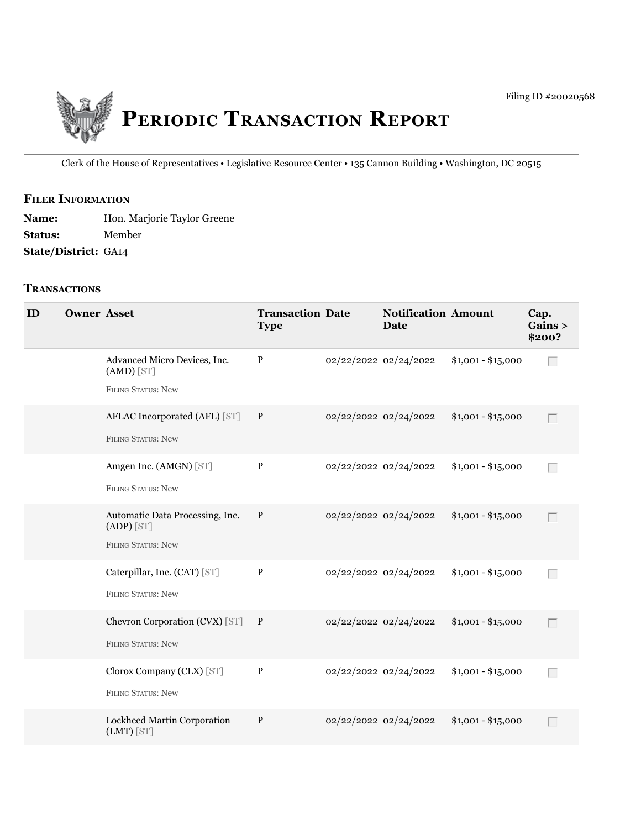

Clerk of the House of Representatives • legislative Resource Center • 135 Cannon Building • Washington, DC 20515

## **fIler INfOrmATION**

| <b>Name:</b>                | Hon. Marjorie Taylor Greene |
|-----------------------------|-----------------------------|
| <b>Status:</b>              | Member                      |
| <b>State/District: GA14</b> |                             |

## **TrANSACTIONS**

| ID | <b>Owner Asset</b> |                                                                              | <b>Transaction Date</b><br><b>Type</b> |                       | <b>Notification Amount</b><br><b>Date</b> |                    | Cap.<br>Gains ><br>\$200? |
|----|--------------------|------------------------------------------------------------------------------|----------------------------------------|-----------------------|-------------------------------------------|--------------------|---------------------------|
|    |                    | Advanced Micro Devices, Inc.<br>$(AMD)$ [ST]<br>FILING STATUS: New           | $\mathbf{P}$                           | 02/22/2022 02/24/2022 |                                           | $$1,001 - $15,000$ | $\Box$                    |
|    |                    | AFLAC Incorporated (AFL) [ST]<br><b>FILING STATUS: New</b>                   | $\mathbf{P}$                           | 02/22/2022 02/24/2022 |                                           | $$1,001 - $15,000$ | Г                         |
|    |                    | Amgen Inc. (AMGN) [ST]<br><b>FILING STATUS: New</b>                          | $\, {\bf P}$                           | 02/22/2022 02/24/2022 |                                           | $$1,001 - $15,000$ | $\Box$                    |
|    |                    | Automatic Data Processing, Inc.<br>$(ADP)$ [ST]<br><b>FILING STATUS: New</b> | $\, {\bf P}$                           | 02/22/2022 02/24/2022 |                                           | $$1,001 - $15,000$ | $\Box$                    |
|    |                    | Caterpillar, Inc. (CAT) [ST]<br><b>FILING STATUS: New</b>                    | $\, {\bf P}$                           | 02/22/2022 02/24/2022 |                                           | $$1,001 - $15,000$ | $\Box$                    |
|    |                    | Chevron Corporation (CVX) [ST] P<br><b>FILING STATUS: New</b>                |                                        | 02/22/2022 02/24/2022 |                                           | $$1,001 - $15,000$ | $\Box$                    |
|    |                    | Clorox Company (CLX) [ST]<br><b>FILING STATUS: New</b>                       | $\, {\bf P}$                           | 02/22/2022 02/24/2022 |                                           | $$1,001 - $15,000$ | $\Box$                    |
|    |                    | Lockheed Martin Corporation<br>$(LMT)$ [ST]                                  | $\mathbf{P}$                           | 02/22/2022 02/24/2022 |                                           | $$1,001 - $15,000$ | Г                         |